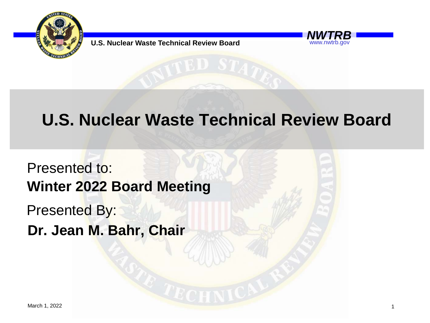

**U.S. Nuclear Waste Technical Review Board** 

#### www.nwtrb.gov

### **U.S. Nuclear Waste Technical Review Board**

Presented to: Presented By: **Winter 2022 Board Meeting Dr. Jean M. Bahr, Chair**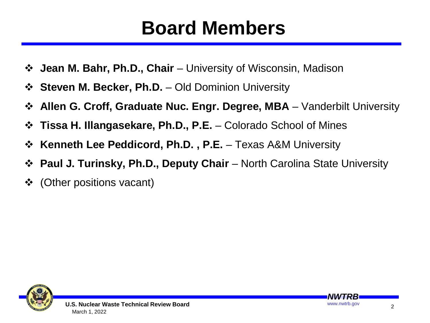## **Board Members**

- **Jean M. Bahr, Ph.D., Chair**  University of Wisconsin, Madison
- **Steven M. Becker, Ph.D.**  Old Dominion University
- **↑ Allen G. Croff, Graduate Nuc. Engr. Degree, MBA** Vanderbilt University
- **Tissa H. Illangasekare, Ph.D., P.E.**  Colorado School of Mines
- **Extemable Feddicord, Ph.D., P.E.** Texas A&M University
- **Paul J. Turinsky, Ph.D., Deputy Chair**  North Carolina State University
- (Other positions vacant)



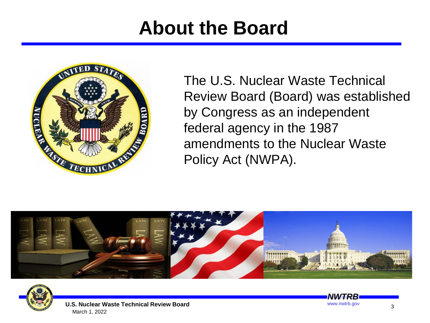## **About the Board**



The U.S. Nuclear Waste Technical Review Board (Board) was established by Congress as an independent federal agency in the 1987 amendments to the Nuclear Waste Policy Act (NWPA).







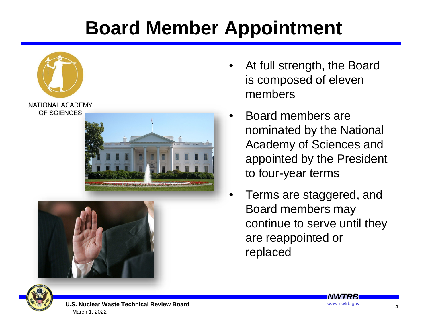## **Board Member Appointment**



- At full strength, the Board is composed of eleven members
- Board members are nominated by the National Academy of Sciences and appointed by the President to four-year terms
- Terms are staggered, and Board members may continue to serve until they are reappointed or replaced



**U.S. Nuclear Waste Technical Review Board** www.nwtrb.gov March 1, 2022

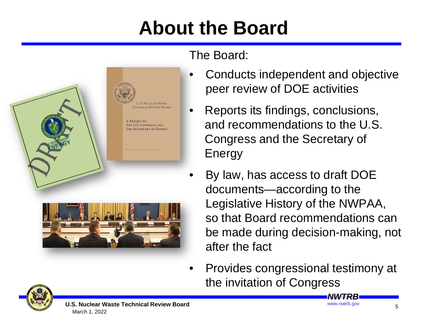## **About the Board**



#### The Board:

- Conducts independent and objective peer review of DOE activities
- Reports its findings, conclusions, and recommendations to the U.S. Congress and the Secretary of Energy
	- By law, has access to draft DOE documents—according to the Legislative History of the NWPAA, so that Board recommendations can be made during decision-making, not after the fact
- Provides congressional testimony at the invitation of Congress

*NWTRB*

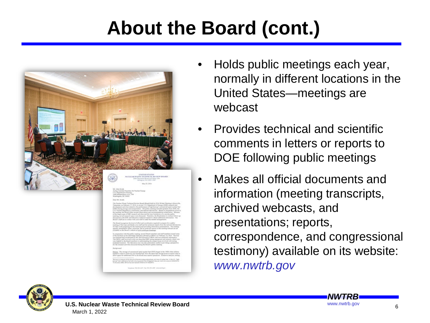## **About the Board (cont.)**



- Holds public meetings each year, normally in different locations in the United States—meetings are webcast
- Provides technical and scientific comments in letters or reports to DOE following public meetings
	- Makes all official documents and information (meeting transcripts, archived webcasts, and presentations; reports, correspondence, and congressional testimony) available on its website: *www.nwtrb.gov*



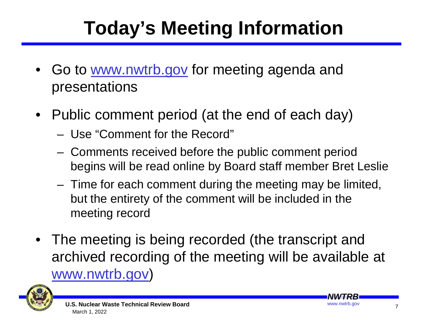## **Today's Meeting Information**

- Go to www.nwtrb.gov for meeting agenda and presentations
- Public comment period (at the end of each day)
	- Use "Comment for the Record"
	- Comments received before the public comment period begins will be read online by Board staff member Bret Leslie
	- Time for each comment during the meeting may be limited, but the entirety of the comment will be included in the meeting record
- The meeting is being recorded (the transcript and archived recording of the meeting will be available at www.nwtrb.gov)



7

*NWTRB*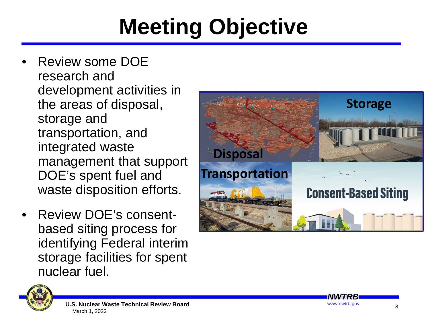# **Meeting Objective**

- Review some DOE research and development activities in the areas of disposal, storage and transportation, and integrated waste management that support DOE's spent fuel and waste disposition efforts.
- Review DOE's consentbased siting process for identifying Federal interim storage facilities for spent nuclear fuel.



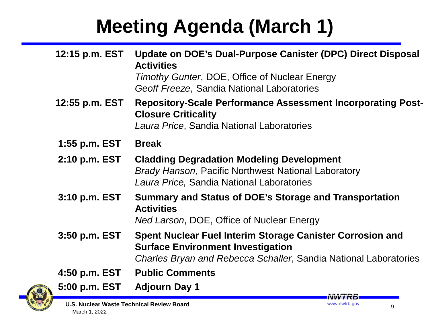## **Meeting Agenda (March 1)**

| 12:15 p.m. EST    | Update on DOE's Dual-Purpose Canister (DPC) Direct Disposal<br><b>Activities</b><br>Timothy Gunter, DOE, Office of Nuclear Energy<br>Geoff Freeze, Sandia National Laboratories |
|-------------------|---------------------------------------------------------------------------------------------------------------------------------------------------------------------------------|
| 12:55 p.m. EST    | <b>Repository-Scale Performance Assessment Incorporating Post-</b><br><b>Closure Criticality</b><br>Laura Price, Sandia National Laboratories                                   |
| 1:55 p.m. EST     | <b>Break</b>                                                                                                                                                                    |
| $2:10$ p.m. $EST$ | <b>Cladding Degradation Modeling Development</b><br><b>Brady Hanson, Pacific Northwest National Laboratory</b><br>Laura Price, Sandia National Laboratories                     |
| 3:10 p.m. EST     | Summary and Status of DOE's Storage and Transportation<br><b>Activities</b><br>Ned Larson, DOE, Office of Nuclear Energy                                                        |
| 3:50 p.m. EST     | Spent Nuclear Fuel Interim Storage Canister Corrosion and<br><b>Surface Environment Investigation</b><br>Charles Bryan and Rebecca Schaller, Sandia National Laboratories       |
| 4:50 p.m. EST     | <b>Public Comments</b>                                                                                                                                                          |
| 5:00 p.m. EST     | <b>Adjourn Day 1</b><br>IVVV I RISL                                                                                                                                             |

**U.S. Nuclear Waste Technical Review Board** March 1, 2022

9

www.nwtrb.gov